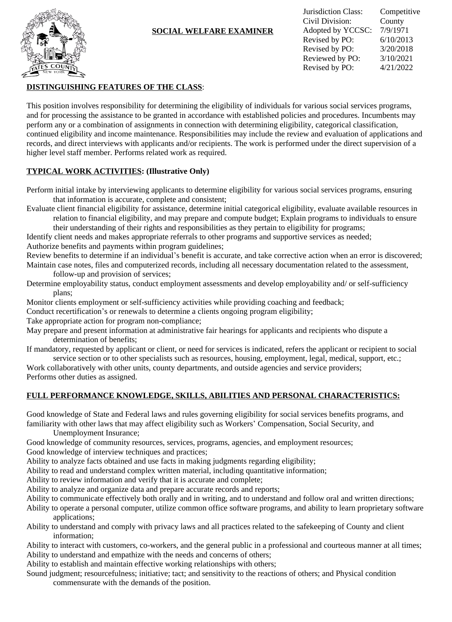

## **SOCIAL WELFARE EXAMINER**

Jurisdiction Class: Competitive Civil Division: County Adopted by YCCSC: 7/9/1971 Revised by PO: 6/10/2013<br>Revised by PO: 3/20/2018 Revised by PO: Reviewed by PO: 3/10/2021 Revised by PO: 4/21/2022

## **DISTINGUISHING FEATURES OF THE CLASS**:

This position involves responsibility for determining the eligibility of individuals for various social services programs, and for processing the assistance to be granted in accordance with established policies and procedures. Incumbents may perform any or a combination of assignments in connection with determining eligibility, categorical classification, continued eligibility and income maintenance. Responsibilities may include the review and evaluation of applications and records, and direct interviews with applicants and/or recipients. The work is performed under the direct supervision of a higher level staff member. Performs related work as required.

## **TYPICAL WORK ACTIVITIES: (Illustrative Only)**

Perform initial intake by interviewing applicants to determine eligibility for various social services programs, ensuring that information is accurate, complete and consistent;

Evaluate client financial eligibility for assistance, determine initial categorical eligibility, evaluate available resources in relation to financial eligibility, and may prepare and compute budget; Explain programs to individuals to ensure

their understanding of their rights and responsibilities as they pertain to eligibility for programs;

Identify client needs and makes appropriate referrals to other programs and supportive services as needed; Authorize benefits and payments within program guidelines;

Review benefits to determine if an individual's benefit is accurate, and take corrective action when an error is discovered; Maintain case notes, files and computerized records, including all necessary documentation related to the assessment, follow-up and provision of services;

Determine employability status, conduct employment assessments and develop employability and/ or self-sufficiency plans;

Monitor clients employment or self-sufficiency activities while providing coaching and feedback;

Conduct recertification's or renewals to determine a clients ongoing program eligibility;

Take appropriate action for program non-compliance;

May prepare and present information at administrative fair hearings for applicants and recipients who dispute a determination of benefits;

If mandatory, requested by applicant or client, or need for services is indicated, refers the applicant or recipient to social service section or to other specialists such as resources, housing, employment, legal, medical, support, etc.;

Work collaboratively with other units, county departments, and outside agencies and service providers; Performs other duties as assigned.

# **FULL PERFORMANCE KNOWLEDGE, SKILLS, ABILITIES AND PERSONAL CHARACTERISTICS:**

Good knowledge of State and Federal laws and rules governing eligibility for social services benefits programs, and familiarity with other laws that may affect eligibility such as Workers' Compensation, Social Security, and

Unemployment Insurance;

Good knowledge of community resources, services, programs, agencies, and employment resources;

Good knowledge of interview techniques and practices;

Ability to analyze facts obtained and use facts in making judgments regarding eligibility;

Ability to read and understand complex written material, including quantitative information;

Ability to review information and verify that it is accurate and complete;

Ability to analyze and organize data and prepare accurate records and reports;

Ability to communicate effectively both orally and in writing, and to understand and follow oral and written directions;

- Ability to operate a personal computer, utilize common office software programs, and ability to learn proprietary software applications;
- Ability to understand and comply with privacy laws and all practices related to the safekeeping of County and client information;

Ability to interact with customers, co-workers, and the general public in a professional and courteous manner at all times; Ability to understand and empathize with the needs and concerns of others;

Ability to establish and maintain effective working relationships with others;

Sound judgment; resourcefulness; initiative; tact; and sensitivity to the reactions of others; and Physical condition

commensurate with the demands of the position.